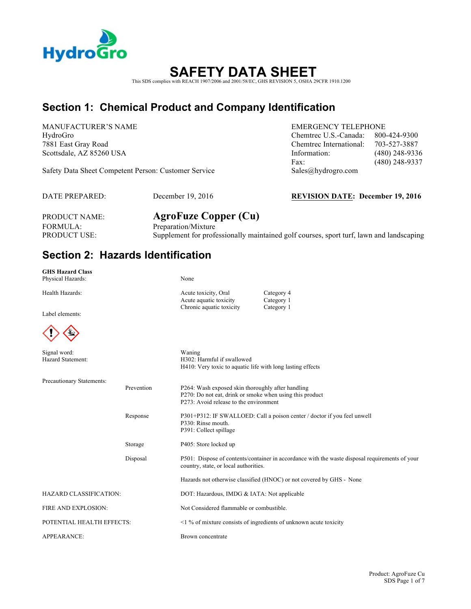

# **SAFETY DATA SHEET**

This SDS complies with REACH 1907/2006 and 2001/58/EC, GHS REVISION 5, OSHA 29CFR 1910.1200

## **Section 1: Chemical Product and Company Identification**

MANUFACTURER'S NAME EMERGENCY TELEPHONE

Safety Data Sheet Competent Person: Customer Service Sales@hydrogro.com

### HydroGro Chemtrec U.S.-Canada: 800-424-9300 7881 East Gray Road Chemtrec International: 703-527-3887 Scottsdale, AZ 85260 USA **Information:** (480) 248-9336 Fax: (480) 248-9337

DATE PREPARED: December 19, 2016 **REVISION DATE: December 19, 2016**

FORMULA: Preparation/Mixture

PRODUCT NAME: **AgroFuze Copper (Cu)** PRODUCT USE: Supplement for professionally maintained golf courses, sport turf, lawn and landscaping

### **Section 2: Hazards Identification**

**GHS Hazard Class** Physical Hazards: None

Health Hazards: Category 4

Label elements:



| $\left( \frac{1}{2} \right)$      |            |                                                                                                                                                         |
|-----------------------------------|------------|---------------------------------------------------------------------------------------------------------------------------------------------------------|
| Signal word:<br>Hazard Statement: |            | Waning<br>H302: Harmful if swallowed<br>H410: Very toxic to aquatic life with long lasting effects                                                      |
| Precautionary Statements:         |            |                                                                                                                                                         |
|                                   | Prevention | P264: Wash exposed skin thoroughly after handling<br>P270: Do not eat, drink or smoke when using this product<br>P273: Avoid release to the environment |
|                                   | Response   | P301+P312: IF SWALLOED: Call a poison center / doctor if you feel unwell<br>P330: Rinse mouth.<br>P391: Collect spillage                                |
|                                   | Storage    | P405: Store locked up                                                                                                                                   |
|                                   | Disposal   | P501: Dispose of contents/container in accordance with the waste disposal requirements of your<br>country, state, or local authorities.                 |
|                                   |            | Hazards not otherwise classified (HNOC) or not covered by GHS - None                                                                                    |
| HAZARD CLASSIFICATION:            |            | DOT: Hazardous, IMDG & IATA: Not applicable                                                                                                             |
| FIRE AND EXPLOSION:               |            | Not Considered flammable or combustible.                                                                                                                |
| POTENTIAL HEALTH EFFECTS:         |            | $\leq$ 1 % of mixture consists of ingredients of unknown acute toxicity                                                                                 |

Acute aquatic toxicity Category 1 Chronic aquatic toxicity Category 1

APPEARANCE: Brown concentrate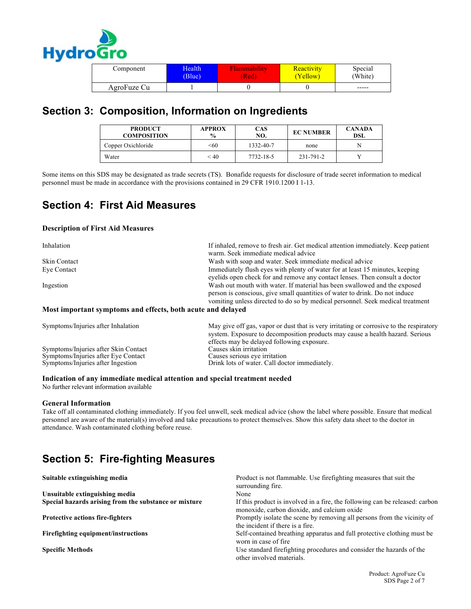

| Component   | Health | Tammability | <b>Reactivity</b> | Special     |
|-------------|--------|-------------|-------------------|-------------|
|             | (Blue) | (Red        | (Yellow)          | (White)     |
| AgroFuze Cu |        |             |                   | $- - - - -$ |

## **Section 3: Composition, Information on Ingredients**

| <b>PRODUCT</b><br><b>COMPOSITION</b> | <b>APPROX</b><br>$\frac{6}{9}$ | CAS<br>NO. | <b>EC NUMBER</b> | <b>CANADA</b><br>DSL |
|--------------------------------------|--------------------------------|------------|------------------|----------------------|
| Copper Oxichloride                   | < 60                           | 1332-40-7  | none             | N                    |
| Water                                | < 40                           | 7732-18-5  | 231-791-2        |                      |

Some items on this SDS may be designated as trade secrets (TS). Bonafide requests for disclosure of trade secret information to medical personnel must be made in accordance with the provisions contained in 29 CFR 1910.1200 I 1-13.

### **Section 4: First Aid Measures**

#### **Description of First Aid Measures**

| Inhalation                                                  | If inhaled, remove to fresh air. Get medical attention immediately. Keep patient<br>warm. Seek immediate medical advice                                                                                                                    |
|-------------------------------------------------------------|--------------------------------------------------------------------------------------------------------------------------------------------------------------------------------------------------------------------------------------------|
| <b>Skin Contact</b>                                         | Wash with soap and water. Seek immediate medical advice                                                                                                                                                                                    |
| Eye Contact                                                 | Immediately flush eyes with plenty of water for at least 15 minutes, keeping<br>evelids open check for and remove any contact lenses. Then consult a doctor                                                                                |
| Ingestion                                                   | Wash out mouth with water. If material has been swallowed and the exposed<br>person is conscious, give small quantities of water to drink. Do not induce<br>vomiting unless directed to do so by medical personnel. Seek medical treatment |
| Most important symptoms and effects, both acute and delayed |                                                                                                                                                                                                                                            |
| Symptoms/Injuries after Inhalation                          | May give off gas, vapor or dust that is very irritating or corrosive to the respiratory                                                                                                                                                    |

| Symptoms/Injuries after Inhalation   | May give off gas, vapor or dust that is very irritating or corrosive to the respiratory<br>system. Exposure to decomposition products may cause a health hazard. Serious<br>effects may be delayed following exposure. |
|--------------------------------------|------------------------------------------------------------------------------------------------------------------------------------------------------------------------------------------------------------------------|
| Symptoms/Injuries after Skin Contact | Causes skin irritation                                                                                                                                                                                                 |
| Symptoms/Injuries after Eye Contact  | Causes serious eye irritation                                                                                                                                                                                          |
| Symptoms/Injuries after Ingestion    | Drink lots of water. Call doctor immediately.                                                                                                                                                                          |

#### **Indication of any immediate medical attention and special treatment needed**

No further relevant information available

#### **General Information**

Take off all contaminated clothing immediately. If you feel unwell, seek medical advice (show the label where possible. Ensure that medical personnel are aware of the material(s) involved and take precautions to protect themselves. Show this safety data sheet to the doctor in attendance. Wash contaminated clothing before reuse.

# **Section 5: Fire-fighting Measures**

| Suitable extinguishing media                          | Product is not flammable. Use firefighting measures that suit the<br>surrounding fire.                                      |
|-------------------------------------------------------|-----------------------------------------------------------------------------------------------------------------------------|
| Unsuitable extinguishing media                        | None                                                                                                                        |
| Special hazards arising from the substance or mixture | If this product is involved in a fire, the following can be released: carbon<br>monoxide, carbon dioxide, and calcium oxide |
| <b>Protective actions fire-fighters</b>               | Promptly isolate the scene by removing all persons from the vicinity of<br>the incident if there is a fire.                 |
| Firefighting equipment/instructions                   | Self-contained breathing apparatus and full protective clothing must be<br>worn in case of fire.                            |
| <b>Specific Methods</b>                               | Use standard firefighting procedures and consider the hazards of the<br>other involved materials.                           |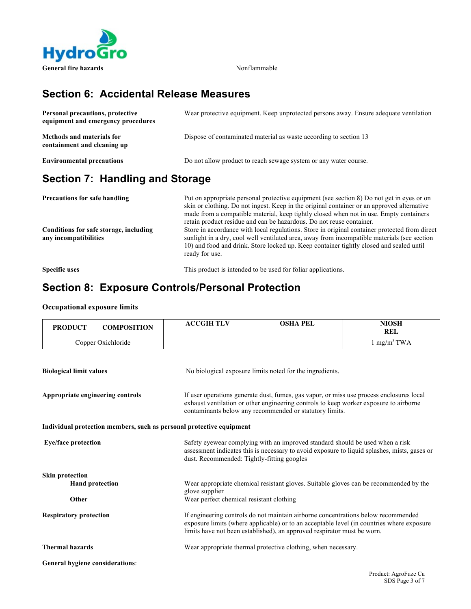

## **Section 6: Accidental Release Measures**

| Personal precautions, protective<br>equipment and emergency procedures | Wear protective equipment. Keep unprotected persons away. Ensure adequate ventilation |
|------------------------------------------------------------------------|---------------------------------------------------------------------------------------|
| <b>Methods and materials for</b><br>containment and cleaning up        | Dispose of contaminated material as waste according to section 13                     |
| <b>Environmental precautions</b>                                       | Do not allow product to reach sewage system or any water course.                      |

## **Section 7: Handling and Storage**

| <b>Precautions for safe handling</b>                            | Put on appropriate personal protective equipment (see section 8) Do not get in eyes or on<br>skin or clothing. Do not ingest. Keep in the original container or an approved alternative<br>made from a compatible material, keep tightly closed when not in use. Empty containers                                                                                                 |
|-----------------------------------------------------------------|-----------------------------------------------------------------------------------------------------------------------------------------------------------------------------------------------------------------------------------------------------------------------------------------------------------------------------------------------------------------------------------|
| Conditions for safe storage, including<br>any incompatibilities | retain product residue and can be hazardous. Do not reuse container.<br>Store in accordance with local regulations. Store in original container protected from direct<br>sunlight in a dry, cool well ventilated area, away from incompatible materials (see section<br>10) and food and drink. Store locked up. Keep container tightly closed and sealed until<br>ready for use. |

**Specific uses** This product is intended to be used for foliar applications.

### **Section 8: Exposure Controls/Personal Protection**

#### **Occupational exposure limits**

| <b>PRODUCT</b>                                                                                                                    | <b>COMPOSITION</b> | <b>ACCGIH TLV</b>                                                                                                                                                                                                                                         | <b>OSHA PEL</b>                                               | <b>NIOSH</b><br><b>REL</b> |
|-----------------------------------------------------------------------------------------------------------------------------------|--------------------|-----------------------------------------------------------------------------------------------------------------------------------------------------------------------------------------------------------------------------------------------------------|---------------------------------------------------------------|----------------------------|
|                                                                                                                                   | Copper Oxichloride |                                                                                                                                                                                                                                                           |                                                               | $1 \text{ mg/m}^3$ TWA     |
| <b>Biological limit values</b>                                                                                                    |                    |                                                                                                                                                                                                                                                           | No biological exposure limits noted for the ingredients.      |                            |
| Appropriate engineering controls                                                                                                  |                    | If user operations generate dust, fumes, gas vapor, or miss use process enclosures local<br>exhaust ventilation or other engineering controls to keep worker exposure to airborne<br>contaminants below any recommended or statutory limits.              |                                                               |                            |
|                                                                                                                                   |                    | Individual protection members, such as personal protective equipment                                                                                                                                                                                      |                                                               |                            |
| <b>Eye/face protection</b>                                                                                                        |                    | Safety eyewear complying with an improved standard should be used when a risk<br>assessment indicates this is necessary to avoid exposure to liquid splashes, mists, gases or<br>dust. Recommended: Tightly-fitting googles                               |                                                               |                            |
| <b>Skin protection</b>                                                                                                            |                    |                                                                                                                                                                                                                                                           |                                                               |                            |
| <b>Hand protection</b><br>Wear appropriate chemical resistant gloves. Suitable gloves can be recommended by the<br>glove supplier |                    |                                                                                                                                                                                                                                                           |                                                               |                            |
| Other                                                                                                                             |                    | Wear perfect chemical resistant clothing                                                                                                                                                                                                                  |                                                               |                            |
| <b>Respiratory protection</b>                                                                                                     |                    | If engineering controls do not maintain airborne concentrations below recommended<br>exposure limits (where applicable) or to an acceptable level (in countries where exposure<br>limits have not been established), an approved respirator must be worn. |                                                               |                            |
| <b>Thermal hazards</b>                                                                                                            |                    |                                                                                                                                                                                                                                                           | Wear appropriate thermal protective clothing, when necessary. |                            |
| <b>General hygiene considerations:</b>                                                                                            |                    |                                                                                                                                                                                                                                                           |                                                               |                            |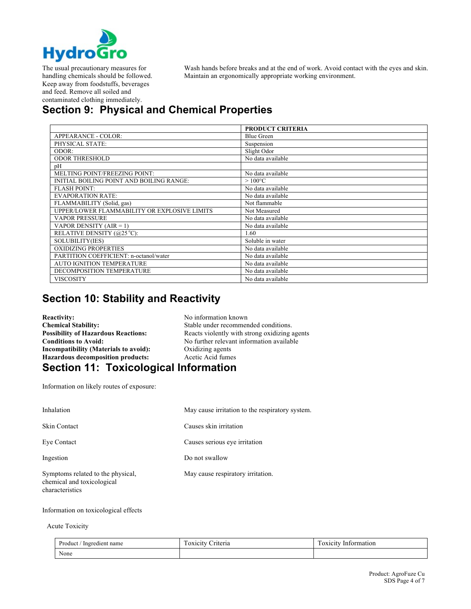

The usual precautionary measures for handling chemicals should be followed. Keep away from foodstuffs, beverages and feed. Remove all soiled and contaminated clothing immediately.

Wash hands before breaks and at the end of work. Avoid contact with the eyes and skin. Maintain an ergonomically appropriate working environment.

# **Section 9: Physical and Chemical Properties**

|                                              | <b>PRODUCT CRITERIA</b> |
|----------------------------------------------|-------------------------|
| APPEARANCE - COLOR:                          | <b>Blue Green</b>       |
| PHYSICAL STATE:                              | Suspension              |
| ODOR:                                        | Slight Odor             |
| <b>ODOR THRESHOLD</b>                        | No data available       |
| рH                                           |                         |
| MELTING POINT/FREEZING POINT:                | No data available       |
| INITIAL BOILING POINT AND BOILING RANGE:     | $>100^{\circ}$ C        |
| <b>FLASH POINT:</b>                          | No data available       |
| <b>EVAPORATION RATE:</b>                     | No data available       |
| FLAMMABILITY (Solid, gas)                    | Not flammable           |
| UPPER/LOWER FLAMMABILITY OR EXPLOSIVE LIMITS | Not Measured            |
| <b>VAPOR PRESSURE</b>                        | No data available       |
| VAPOR DENSITY $(AIR = 1)$                    | No data available       |
| RELATIVE DENSITY (@25 °C):                   | 1.60                    |
| SOLUBILITY(IES)                              | Soluble in water        |
| <b>OXIDIZING PROPERTIES</b>                  | No data available       |
| PARTITION COEFFICIENT: n-octanol/water       | No data available       |
| <b>AUTO IGNITION TEMPERATURE</b>             | No data available       |
| DECOMPOSITION TEMPERATURE                    | No data available       |
| VISCOSITY                                    | No data available       |

### **Section 10: Stability and Reactivity**

**Reactivity:** No information known<br> **Chemical Stability:** No information known<br>
Stable under recommer **Chemical Stability:** Stable under recommended conditions.<br> **Possibility of Hazardous Reactions:** Reacts violently with strong oxidizing a **Incompatibility (Materials to avoid):** Oxidizing agents Hazardous decomposition products: Acetic Acid fumes

Reacts violently with strong oxidizing agents **Conditions to Avoid:** No further relevant information available

### **Section 11: Toxicological Information**

Information on likely routes of exposure:

| Inhalation                                                                         | May cause irritation to the respiratory system. |
|------------------------------------------------------------------------------------|-------------------------------------------------|
| <b>Skin Contact</b>                                                                | Causes skin irritation                          |
| Eye Contact                                                                        | Causes serious eye irritation                   |
| Ingestion                                                                          | Do not swallow                                  |
| Symptoms related to the physical,<br>chemical and toxicological<br>characteristics | May cause respiratory irritation.               |

#### Information on toxicological effects

#### Acute Toxicity

| Product<br>Ingredient name | -<br>–<br>riteria<br><b>OXICITY</b> | $\overline{\phantom{0}}$<br>Information<br><b>OXICITY</b> |
|----------------------------|-------------------------------------|-----------------------------------------------------------|
| None                       |                                     |                                                           |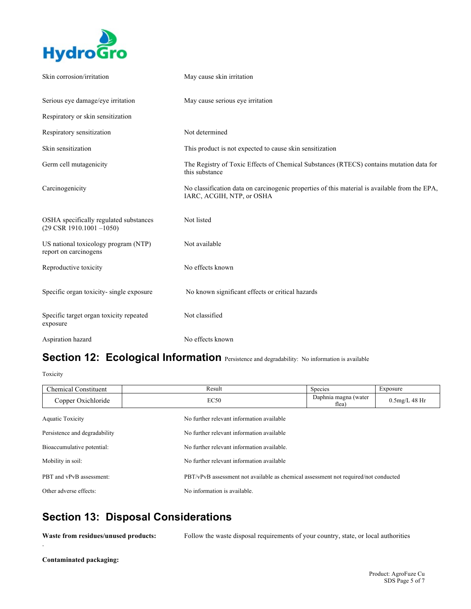

| Skin corrosion/irritation                                                      | May cause skin irritation                                                                                                  |
|--------------------------------------------------------------------------------|----------------------------------------------------------------------------------------------------------------------------|
| Serious eye damage/eye irritation                                              | May cause serious eye irritation                                                                                           |
| Respiratory or skin sensitization                                              |                                                                                                                            |
| Respiratory sensitization                                                      | Not determined                                                                                                             |
| Skin sensitization                                                             | This product is not expected to cause skin sensitization                                                                   |
| Germ cell mutagenicity                                                         | The Registry of Toxic Effects of Chemical Substances (RTECS) contains mutation data for<br>this substance                  |
| Carcinogenicity                                                                | No classification data on carcinogenic properties of this material is available from the EPA,<br>IARC, ACGIH, NTP, or OSHA |
| OSHA specifically regulated substances<br>$(29 \text{ CSR } 1910.1001 - 1050)$ | Not listed                                                                                                                 |
| US national toxicology program (NTP)<br>report on carcinogens                  | Not available                                                                                                              |
| Reproductive toxicity                                                          | No effects known                                                                                                           |
| Specific organ toxicity-single exposure                                        | No known significant effects or critical hazards                                                                           |
| Specific target organ toxicity repeated<br>exposure                            | Not classified                                                                                                             |
| Aspiration hazard                                                              | No effects known                                                                                                           |

## Section 12: Ecological Information Persistence and degradability: No information is available

Toxicity

| <b>Chemical Constituent</b>   | Result                                     | Species                                                                             | Exposure         |  |
|-------------------------------|--------------------------------------------|-------------------------------------------------------------------------------------|------------------|--|
| Copper Oxichloride            | EC50                                       | Daphnia magna (water<br>flea)                                                       | $0.5$ mg/L 48 Hr |  |
| Aquatic Toxicity              | No further relevant information available  |                                                                                     |                  |  |
| Persistence and degradability | No further relevant information available  |                                                                                     |                  |  |
| Bioaccumulative potential:    | No further relevant information available. |                                                                                     |                  |  |
| Mobility in soil:             | No further relevant information available  |                                                                                     |                  |  |
| PBT and vPvB assessment:      |                                            | PBT/vPvB assessment not available as chemical assessment not required/not conducted |                  |  |
| Other adverse effects:        | No information is available.               |                                                                                     |                  |  |

## **Section 13: Disposal Considerations**

**Waste from residues/unused products:** Follow the waste disposal requirements of your country, state, or local authorities

**Contaminated packaging:** 

.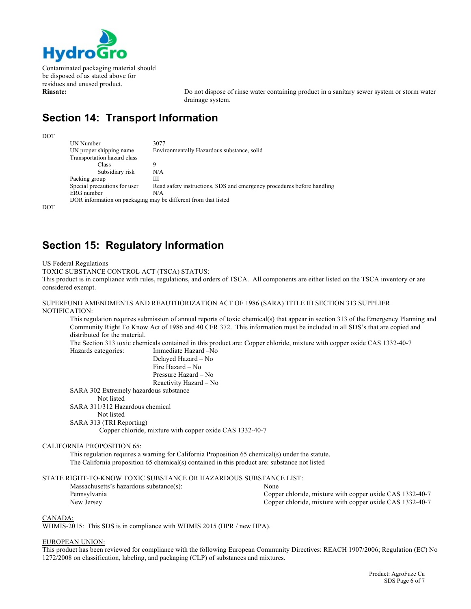

Contaminated packaging material should be disposed of as stated above for residues and unused product.

**Rinsate:** Do not dispose of rinse water containing product in a sanitary sewer system or storm water drainage system.

## **Section 14: Transport Information**

DOT

UN Number 3077<br>UN proper shipping name Envi Environmentally Hazardous substance, solid Transportation hazard class Class 9<br>Subsidiary risk N/A Subsidiary risk Packing group III Special precautions for user Read safety instructions, SDS and emergency procedures before handling ERG number N/A DOR information on packaging may be different from that listed

DOT

### **Section 15: Regulatory Information**

US Federal Regulations

TOXIC SUBSTANCE CONTROL ACT (TSCA) STATUS:

This product is in compliance with rules, regulations, and orders of TSCA. All components are either listed on the TSCA inventory or are considered exempt.

#### SUPERFUND AMENDMENTS AND REAUTHORIZATION ACT OF 1986 (SARA) TITLE III SECTION 313 SUPPLIER NOTIFICATION:

This regulation requires submission of annual reports of toxic chemical(s) that appear in section 313 of the Emergency Planning and Community Right To Know Act of 1986 and 40 CFR 372. This information must be included in all SDS's that are copied and distributed for the material.

The Section 313 toxic chemicals contained in this product are: Copper chloride, mixture with copper oxide CAS 1332-40-7 Hazards categories: Immediate Hazard –No

Delayed Hazard – No Fire Hazard – No Pressure Hazard – No Reactivity Hazard – No

SARA 302 Extremely hazardous substance

#### Not listed

SARA 311/312 Hazardous chemical

Not listed

```
SARA 313 (TRI Reporting)
```
Copper chloride, mixture with copper oxide CAS 1332-40-7

#### CALIFORNIA PROPOSITION 65:

This regulation requires a warning for California Proposition 65 chemical(s) under the statute. The California proposition 65 chemical(s) contained in this product are: substance not listed

# STATE RIGHT-TO-KNOW TOXIC SUBSTANCE OR HAZARDOUS SUBSTANCE LIST:<br>Massachusetts's hazardous substance(s): [20] None

| Massachusetts's hazardous substance(s): | None                                                     |
|-----------------------------------------|----------------------------------------------------------|
| Pennsylvania                            | Copper chloride, mixture with copper oxide CAS 1332-40-7 |
| New Jersey                              | Copper chloride, mixture with copper oxide CAS 1332-40-7 |

#### CANADA:

WHMIS-2015: This SDS is in compliance with WHMIS 2015 (HPR / new HPA).

#### EUROPEAN UNION:

This product has been reviewed for compliance with the following European Community Directives: REACH 1907/2006; Regulation (EC) No 1272/2008 on classification, labeling, and packaging (CLP) of substances and mixtures.